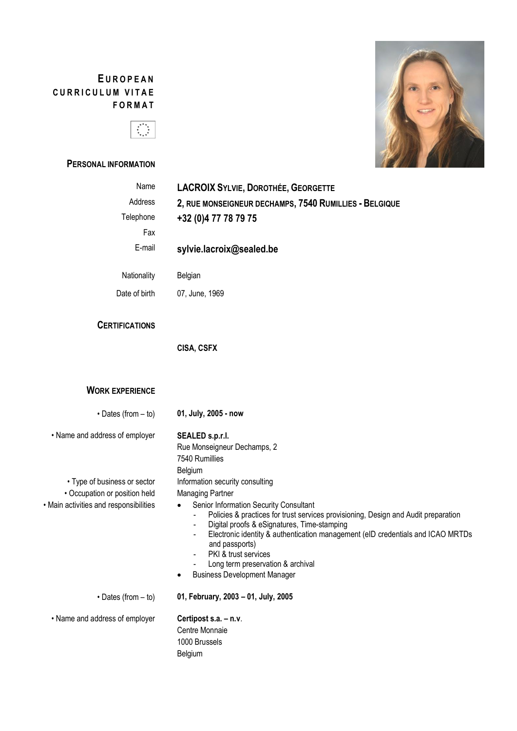# **E U R O P E A N C U R R I C U L U M V I T A E F O R M A T**



# **PERSONAL INFORMATION**



| Name                                   | <b>LACROIX SYLVIE, DOROTHÉE, GEORGETTE</b>                                                                                   |
|----------------------------------------|------------------------------------------------------------------------------------------------------------------------------|
| Address                                | 2, RUE MONSEIGNEUR DECHAMPS, 7540 RUMILLIES - BELGIQUE                                                                       |
| Telephone                              | +32 (0) 4 77 78 79 75                                                                                                        |
| Fax                                    |                                                                                                                              |
| E-mail                                 | sylvie.lacroix@sealed.be                                                                                                     |
| Nationality                            | Belgian                                                                                                                      |
| Date of birth                          | 07, June, 1969                                                                                                               |
| <b>CERTIFICATIONS</b>                  |                                                                                                                              |
|                                        | <b>CISA, CSFX</b>                                                                                                            |
|                                        |                                                                                                                              |
| <b>WORK EXPERIENCE</b>                 |                                                                                                                              |
| $\cdot$ Dates (from $-$ to)            | 01, July, 2005 - now                                                                                                         |
| • Name and address of employer         | SEALED s.p.r.l.                                                                                                              |
|                                        | Rue Monseigneur Dechamps, 2<br>7540 Rumillies                                                                                |
|                                        | Belgium                                                                                                                      |
| • Type of business or sector           | Information security consulting                                                                                              |
| • Occupation or position held          | <b>Managing Partner</b>                                                                                                      |
| • Main activities and responsibilities | Senior Information Security Consultant<br>Policies & practices for trust services provisioning, Design and Audit preparation |
|                                        | Digital proofs & eSignatures, Time-stamping                                                                                  |
|                                        | Electronic identity & authentication management (eID credentials and ICAO MRTDs<br>and passports)                            |
|                                        | PKI & trust services                                                                                                         |
|                                        | Long term preservation & archival<br><b>Business Development Manager</b>                                                     |
| $\cdot$ Dates (from $-$ to)            | 01, February, 2003 - 01, July, 2005                                                                                          |
| • Name and address of employer         | Certipost s.a. - n.v.                                                                                                        |
|                                        | Centre Monnaie                                                                                                               |
|                                        | 1000 Brussels<br>Belgium                                                                                                     |
|                                        |                                                                                                                              |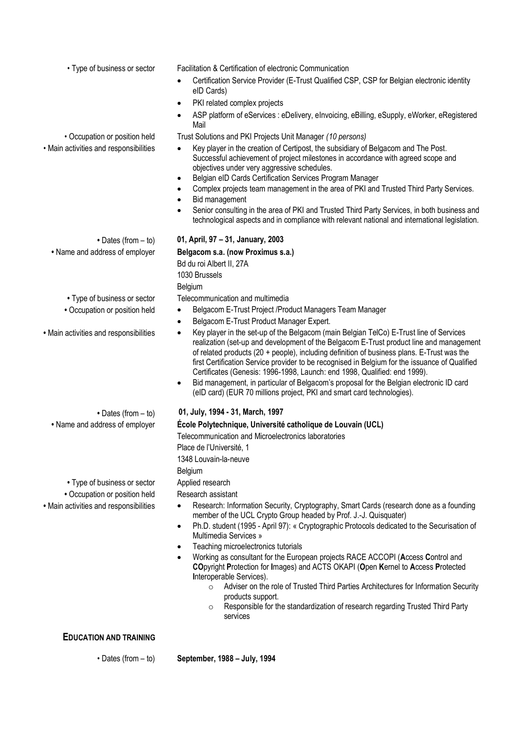• Type of business or sector Facilitation & Certification of electronic Communication

- Certification Service Provider (E-Trust Qualified CSP, CSP for Belgian electronic identity eID Cards)
- PKI related complex projects
- ASP platform of eServices : eDelivery, eInvoicing, eBilling, eSupply, eWorker, eRegistered Mail

• Occupation or position held Trust Solutions and PKI Projects Unit Manager *(10 persons)*

- Main activities and responsibilities Key player in the creation of Certipost, the subsidiary of Belgacom and The Post. Successful achievement of project milestones in accordance with agreed scope and objectives under very aggressive schedules.
	- Belgian eID Cards Certification Services Program Manager
	- Complex projects team management in the area of PKI and Trusted Third Party Services.
	- Bid management
	- Senior consulting in the area of PKI and Trusted Third Party Services, in both business and technological aspects and in compliance with relevant national and international legislation.

**•** Dates (from – to) **01, April, 97 – 31, January, 2003 •** Name and address of employer **Belgacom s.a. (now Proximus s.a.)**

> Bd du roi Albert II, 27A 1030 Brussels Belgium

**•** Type of business or sector Telecommunication and multimedia

Place de l'Université, 1 1348 Louvain-la-neuve

Belgium

- Occupation or position held Belgacom E-Trust Project /Product Managers Team Manager
	- Belgacom E-Trust Product Manager Expert.

Telecommunication and Microelectronics laboratories

- Main activities and responsibilities Key player in the set-up of the Belgacom (main Belgian TelCo) E-Trust line of Services realization (set-up and development of the Belgacom E-Trust product line and management of related products (20 + people), including definition of business plans. E-Trust was the first Certification Service provider to be recognised in Belgium for the issuance of Qualified Certificates (Genesis: 1996-1998, Launch: end 1998, Qualified: end 1999).
	- Bid management, in particular of Belgacom's proposal for the Belgian electronic ID card (eID card) (EUR 70 millions project, PKI and smart card technologies).
	- Dates (from to) **01, July, 1994 - 31, March, 1997**

**•** Name and address of employer **École Polytechnique, Université catholique de Louvain (UCL)**

• Type of business or sector Applied research

- Occupation or position held Research assistant
- Main activities and responsibilities Research: Information Security, Cryptography, Smart Cards (research done as a founding member of the UCL Crypto Group headed by Prof. J.-J. Quisquater)
	- Ph.D. student (1995 April 97): « Cryptographic Protocols dedicated to the Securisation of Multimedia Services »
	- Teaching microelectronics tutorials
	- Working as consultant for the European projects RACE ACCOPI (**A**ccess **C**ontrol and **CO**pyright **P**rotection for **I**mages) and ACTS OKAPI (**O**pen **K**ernel to **A**ccess **P**rotected **I**nteroperable Services).
		- o Adviser on the role of Trusted Third Parties Architectures for Information Security products support.
		- o Responsible for the standardization of research regarding Trusted Third Party services

# **EDUCATION AND TRAINING**

• Dates (from – to) **September, 1988 – July, 1994**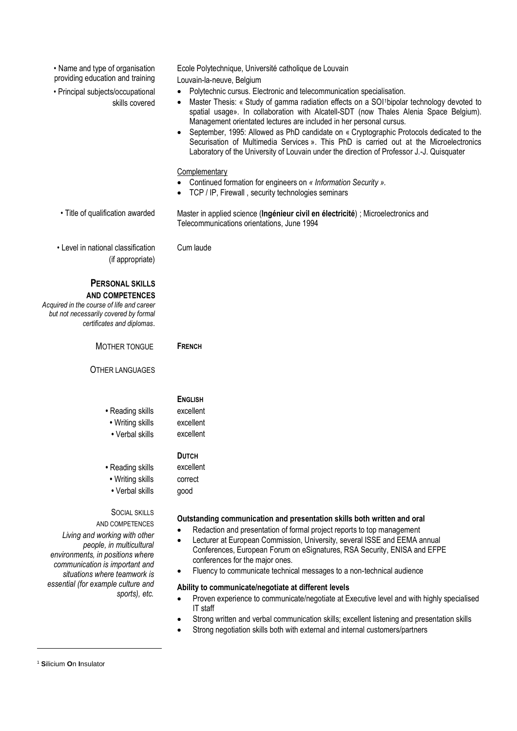| • Name and type of organisation<br>providing education and training                                                                                                                                                                                               | Ecole Polytechnique, Université catholique de Louvain<br>Louvain-la-neuve, Belgium                                                                                                                                                                                                                                                                                                                                                                                                                                                                                                                                                           |
|-------------------------------------------------------------------------------------------------------------------------------------------------------------------------------------------------------------------------------------------------------------------|----------------------------------------------------------------------------------------------------------------------------------------------------------------------------------------------------------------------------------------------------------------------------------------------------------------------------------------------------------------------------------------------------------------------------------------------------------------------------------------------------------------------------------------------------------------------------------------------------------------------------------------------|
| • Principal subjects/occupational<br>skills covered                                                                                                                                                                                                               | Polytechnic cursus. Electronic and telecommunication specialisation.<br>$\bullet$<br>Master Thesis: « Study of gamma radiation effects on a SOI <sup>1</sup> bipolar technology devoted to<br>spatial usage». In collaboration with Alcatell-SDT (now Thales Alenia Space Belgium).<br>Management orientated lectures are included in her personal cursus.<br>September, 1995: Allowed as PhD candidate on « Cryptographic Protocols dedicated to the<br>Securisation of Multimedia Services ». This PhD is carried out at the Microelectronics<br>Laboratory of the University of Louvain under the direction of Professor J.-J. Quisquater |
|                                                                                                                                                                                                                                                                   | Complementary<br>Continued formation for engineers on « Information Security ».<br>TCP / IP, Firewall, security technologies seminars                                                                                                                                                                                                                                                                                                                                                                                                                                                                                                        |
| • Title of qualification awarded                                                                                                                                                                                                                                  | Master in applied science (Ingénieur civil en électricité) ; Microelectronics and<br>Telecommunications orientations, June 1994                                                                                                                                                                                                                                                                                                                                                                                                                                                                                                              |
| • Level in national classification<br>(if appropriate)                                                                                                                                                                                                            | Cum laude                                                                                                                                                                                                                                                                                                                                                                                                                                                                                                                                                                                                                                    |
| <b>PERSONAL SKILLS</b><br><b>AND COMPETENCES</b><br>Acquired in the course of life and career<br>but not necessarily covered by formal<br>certificates and diplomas.                                                                                              |                                                                                                                                                                                                                                                                                                                                                                                                                                                                                                                                                                                                                                              |
| MOTHER TONGUE                                                                                                                                                                                                                                                     | <b>FRENCH</b>                                                                                                                                                                                                                                                                                                                                                                                                                                                                                                                                                                                                                                |
| <b>OTHER LANGUAGES</b>                                                                                                                                                                                                                                            |                                                                                                                                                                                                                                                                                                                                                                                                                                                                                                                                                                                                                                              |
| • Reading skills<br>• Writing skills<br>• Verbal skills                                                                                                                                                                                                           | <b>ENGLISH</b><br>excellent<br>excellent<br>excellent                                                                                                                                                                                                                                                                                                                                                                                                                                                                                                                                                                                        |
| • Reading skills<br>• Writing skills<br>• Verbal skills                                                                                                                                                                                                           | <b>DUTCH</b><br>excellent<br>correct<br>good                                                                                                                                                                                                                                                                                                                                                                                                                                                                                                                                                                                                 |
| <b>SOCIAL SKILLS</b><br>AND COMPETENCES<br>Living and working with other<br>people, in multicultural<br>environments, in positions where<br>communication is important and<br>situations where teamwork is<br>essential (for example culture and<br>sports), etc. | Outstanding communication and presentation skills both written and oral<br>Redaction and presentation of formal project reports to top management<br>Lecturer at European Commission, University, several ISSE and EEMA annual<br>Conferences, European Forum on eSignatures, RSA Security, ENISA and EFPE<br>conferences for the major ones.<br>Fluency to communicate technical messages to a non-technical audience<br>$\bullet$<br>Ability to communicate/negotiate at different levels<br>Proven experience to communicate/negotiate at Executive level and with highly specialised<br>IT staff                                         |

- Strong written and verbal communication skills; excellent listening and presentation skills
- Strong negotiation skills both with external and internal customers/partners

<sup>1</sup> **S**ilicium **O**n **I**nsulator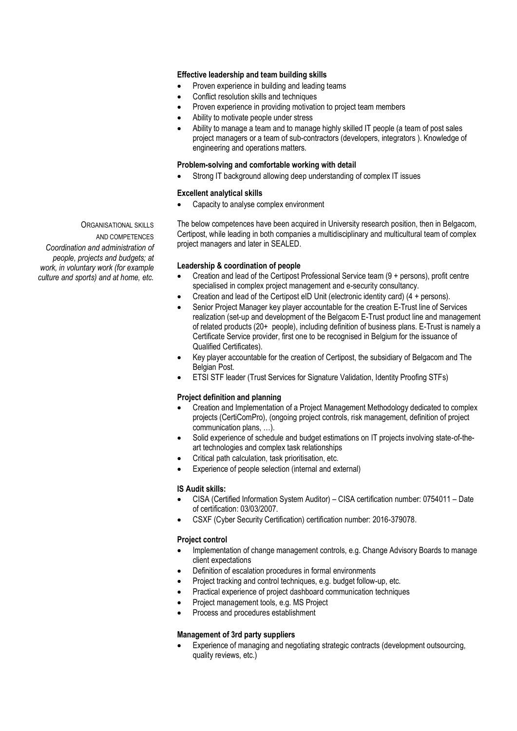## **Effective leadership and team building skills**

- Proven experience in building and leading teams
- Conflict resolution skills and techniques
- Proven experience in providing motivation to project team members
- Ability to motivate people under stress
- Ability to manage a team and to manage highly skilled IT people (a team of post sales project managers or a team of sub-contractors (developers, integrators ). Knowledge of engineering and operations matters.

#### **Problem-solving and comfortable working with detail**

• Strong IT background allowing deep understanding of complex IT issues

### **Excellent analytical skills**

• Capacity to analyse complex environment

The below competences have been acquired in University research position, then in Belgacom, Certipost, while leading in both companies a multidisciplinary and multicultural team of complex project managers and later in SEALED.

#### **Leadership & coordination of people**

- Creation and lead of the Certipost Professional Service team (9 + persons), profit centre specialised in complex project management and e-security consultancy.
- Creation and lead of the Certipost eID Unit (electronic identity card) (4 + persons).
- Senior Project Manager key player accountable for the creation E-Trust line of Services realization (set-up and development of the Belgacom E-Trust product line and management of related products (20+ people), including definition of business plans. E-Trust is namely a Certificate Service provider, first one to be recognised in Belgium for the issuance of Qualified Certificates).
- Key player accountable for the creation of Certipost, the subsidiary of Belgacom and The Belgian Post.
- ETSI STF leader (Trust Services for Signature Validation, Identity Proofing STFs)

#### **Project definition and planning**

- Creation and Implementation of a Project Management Methodology dedicated to complex projects (CertiComPro), (ongoing project controls, risk management, definition of project communication plans, …).
- Solid experience of schedule and budget estimations on IT projects involving state-of-theart technologies and complex task relationships
- Critical path calculation, task prioritisation, etc.
- Experience of people selection (internal and external)

### **IS Audit skills:**

- CISA (Certified Information System Auditor) CISA certification number: 0754011 Date of certification: 03/03/2007.
- CSXF (Cyber Security Certification) certification number: 2016-379078.

#### **Project control**

- Implementation of change management controls, e.g. Change Advisory Boards to manage client expectations
- Definition of escalation procedures in formal environments
- Project tracking and control techniques, e.g. budget follow-up, etc.
- Practical experience of project dashboard communication techniques
- Project management tools, e.g. MS Project
- Process and procedures establishment

### **Management of 3rd party suppliers**

• Experience of managing and negotiating strategic contracts (development outsourcing, quality reviews, etc.)

ORGANISATIONAL SKILLS AND COMPETENCES *Coordination and administration of people, projects and budgets; at* 

*work, in voluntary work (for example culture and sports) and at home, etc.*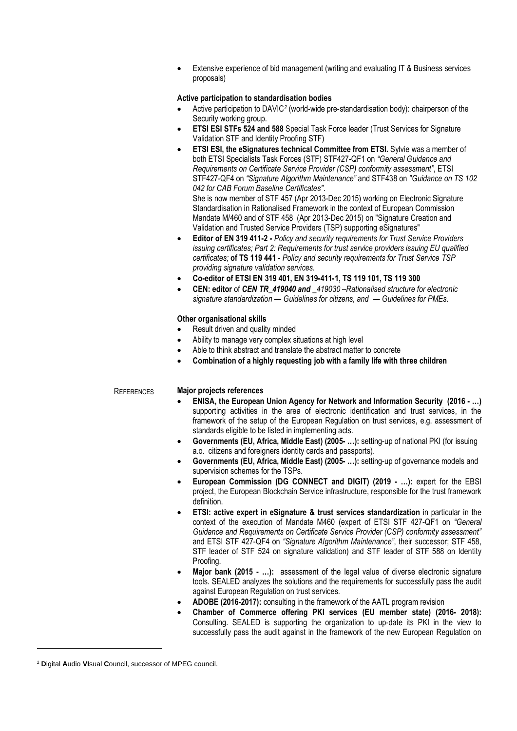Extensive experience of bid management (writing and evaluating IT & Business services proposals)

#### **Active participation to standardisation bodies**

- Active participation to DAVIC<sup>2</sup> (world-wide pre-standardisation body): chairperson of the Security working group.
- **ETSI ESI STFs 524 and 588** Special Task Force leader (Trust Services for Signature Validation STF and Identity Proofing STF)
- **ETSI ESI, the eSignatures technical Committee from ETSI.** Sylvie was a member of both ETSI Specialists Task Forces (STF) STF427-QF1 on *"General Guidance and Requirements on Certificate Service Provider (CSP) conformity assessment"*, ETSI STF427-QF4 on *"Signature Algorithm Maintenance"* and STF438 on *"Guidance on TS 102 042 for CAB Forum Baseline Certificates"*. She is now member of STF 457 (Apr 2013-Dec 2015) working on Electronic Signature Standardisation in Rationalised Framework in the context of European Commission Mandate M/460 and of STF 458 (Apr 2013-Dec 2015) on "Signature Creation and
- Validation and Trusted Service Providers (TSP) supporting eSignatures" • **Editor of EN 319 411-2** *- Policy and security requirements for Trust Service Providers issuing certificates; Part 2: Requirements for trust service providers issuing EU qualified*
- *certificates;* **of TS 119 441 -** *Policy and security requirements for Trust Service TSP providing signature validation services.*
- **Co-editor of ETSI EN 319 401, EN 319-411-1, TS 119 101, TS 119 300**
- **CEN: editor** of *CEN TR\_419040 and \_419030 –Rationalised structure for electronic signature standardization — Guidelines for citizens, and — Guidelines for PMEs.*

### **Other organisational skills**

- Result driven and quality minded
- Ability to manage very complex situations at high level
- Able to think abstract and translate the abstract matter to concrete
- **Combination of a highly requesting job with a family life with three children**

#### REFERENCES **Major projects references**

- **ENISA, the European Union Agency for Network and Information Security (2016 - …)** supporting activities in the area of electronic identification and trust services, in the framework of the setup of the European Regulation on trust services, e.g. assessment of standards eligible to be listed in implementing acts.
- **Governments (EU, Africa, Middle East) (2005- …):** setting-up of national PKI (for issuing a.o. citizens and foreigners identity cards and passports).
- **Governments (EU, Africa, Middle East) (2005- …):** setting-up of governance models and supervision schemes for the TSPs.
- **European Commission (DG CONNECT and DIGIT) (2019 - …):** expert for the EBSI project, the European Blockchain Service infrastructure, responsible for the trust framework definition.
- **ETSI: active expert in eSignature & trust services standardization** in particular in the context of the execution of Mandate M460 (expert of ETSI STF 427-QF1 on *"General Guidance and Requirements on Certificate Service Provider (CSP) conformity assessment"* and ETSI STF 427-QF4 on *"Signature Algorithm Maintenance"*, their successor; STF 458, STF leader of STF 524 on signature validation) and STF leader of STF 588 on Identity Proofing.
- **Major bank (2015 - …):** assessment of the legal value of diverse electronic signature tools. SEALED analyzes the solutions and the requirements for successfully pass the audit against European Regulation on trust services.
- **ADOBE (2016-2017):** consulting in the framework of the AATL program revision
- **Chamber of Commerce offering PKI services (EU member state) (2016- 2018):**  Consulting. SEALED is supporting the organization to up-date its PKI in the view to successfully pass the audit against in the framework of the new European Regulation on

<sup>2</sup> **D**igital **A**udio **VI**sual **C**ouncil, successor of MPEG council.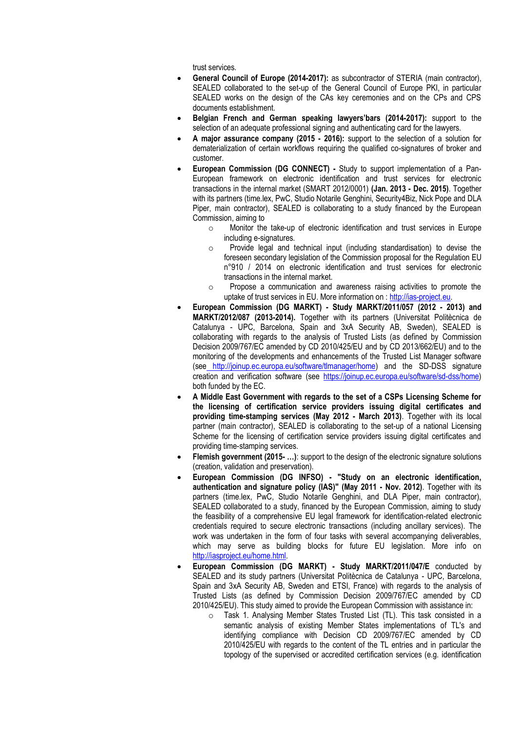trust services.

- **General Council of Europe (2014-2017):** as subcontractor of STERIA (main contractor), SEALED collaborated to the set-up of the General Council of Europe PKI, in particular SEALED works on the design of the CAs key ceremonies and on the CPs and CPS documents establishment.
- **Belgian French and German speaking lawyers'bars (2014-2017):** support to the selection of an adequate professional signing and authenticating card for the lawyers.
- **A major assurance company (2015 - 2016):** support to the selection of a solution for dematerialization of certain workflows requiring the qualified co-signatures of broker and customer.
- **European Commission (DG CONNECT) -** Study to support implementation of a Pan-European framework on electronic identification and trust services for electronic transactions in the internal market (SMART 2012/0001) **(Jan. 2013 - Dec. 2015)**. Together with its partners (time.lex, PwC, Studio Notarile Genghini, Security4Biz, Nick Pope and DLA Piper, main contractor), SEALED is collaborating to a study financed by the European Commission, aiming to
	- o Monitor the take-up of electronic identification and trust services in Europe including e-signatures.
	- o Provide legal and technical input (including standardisation) to devise the foreseen secondary legislation of the Commission proposal for the Regulation EU n°910 / 2014 on electronic identification and trust services for electronic transactions in the internal market.
	- oPropose a communication and awareness raising activities to promote the uptake of trust services in EU. More information on : [http://ias-project.eu.](http://ias-project.eu/)
- **European Commission (DG MARKT) - Study MARKT/2011/057 (2012 - 2013) and MARKT/2012/087 (2013-2014).** Together with its partners (Universitat Politècnica de Catalunya - UPC, Barcelona, Spain and 3xA Security AB, Sweden), SEALED is collaborating with regards to the analysis of Trusted Lists (as defined by Commission Decision 2009/767/EC amended by CD 2010/425/EU and by CD 2013/662/EU) and to the monitoring of the developments and enhancements of the Trusted List Manager software (see [http://joinup.ec.europa.eu/software/tlmanager/home\)](http://joinup.ec.europa.eu/software/tlmanager/home) and the SD-DSS signature creation and verification software (see [https://joinup.ec.europa.eu/software/sd-dss/home\)](https://joinup.ec.europa.eu/software/sd-dss/home) both funded by the EC.
- **A Middle East Government with regards to the set of a CSPs Licensing Scheme for the licensing of certification service providers issuing digital certificates and providing time-stamping services (May 2012 - March 2013)**. Together with its local partner (main contractor), SEALED is collaborating to the set-up of a national Licensing Scheme for the licensing of certification service providers issuing digital certificates and providing time-stamping services.
- **Flemish government (2015- …)**: support to the design of the electronic signature solutions (creation, validation and preservation).
- **European Commission (DG INFSO) - "Study on an electronic identification, authentication and signature policy (IAS)" (May 2011 - Nov. 2012)**. Together with its partners (time.lex, PwC, Studio Notarile Genghini, and DLA Piper, main contractor), SEALED collaborated to a study, financed by the European Commission, aiming to study the feasibility of a comprehensive EU legal framework for identification-related electronic credentials required to secure electronic transactions (including ancillary services). The work was undertaken in the form of four tasks with several accompanying deliverables, which may serve as building blocks for future EU legislation. More info o[n](http://iasproject.eu/home.html) [http://iasproject.eu/home.html.](http://iasproject.eu/home.html)
- **European Commission (DG MARKT) - Study MARKT/2011/047/E** conducted by SEALED and its study partners (Universitat Politècnica de Catalunya - UPC, Barcelona, Spain and 3xA Security AB, Sweden and ETSI, France) with regards to the analysis of Trusted Lists (as defined by Commission Decision 2009/767/EC amended by CD 2010/425/EU). This study aimed to provide the European Commission with assistance in:
	- o Task 1. Analysing Member States Trusted List (TL). This task consisted in a semantic analysis of existing Member States implementations of TL's and identifying compliance with Decision CD 2009/767/EC amended by CD 2010/425/EU with regards to the content of the TL entries and in particular the topology of the supervised or accredited certification services (e.g. identification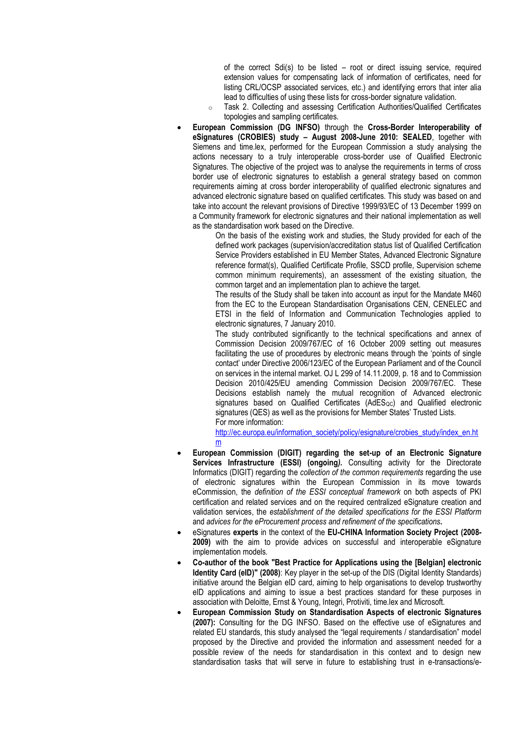of the correct Sdi(s) to be listed – root or direct issuing service, required extension values for compensating lack of information of certificates, need for listing CRL/OCSP associated services, etc.) and identifying errors that inter alia lead to difficulties of using these lists for cross-border signature validation.

- o Task 2. Collecting and assessing Certification Authorities/Qualified Certificates topologies and sampling certificates.
- **European Commission (DG INFSO)** through the **Cross-Border Interoperability of eSignatures (CROBIES) study – August 2008-June 2010: SEALED**, together with Siemens and time.lex, performed for the European Commission a study analysing the actions necessary to a truly interoperable cross-border use of Qualified Electronic Signatures. The objective of the project was to analyse the requirements in terms of cross border use of electronic signatures to establish a general strategy based on common requirements aiming at cross border interoperability of qualified electronic signatures and advanced electronic signature based on qualified certificates. This study was based on and take into account the relevant provisions of Directive 1999/93/EC of 13 December 1999 on a Community framework for electronic signatures and their national implementation as well as the standardisation work based on the Directive.

On the basis of the existing work and studies, the Study provided for each of the defined work packages (supervision/accreditation status list of Qualified Certification Service Providers established in EU Member States, Advanced Electronic Signature reference format(s), Qualified Certificate Profile, SSCD profile, Supervision scheme common minimum requirements), an assessment of the existing situation, the common target and an implementation plan to achieve the target.

The results of the Study shall be taken into account as input for the Mandate M460 from the EC to the European Standardisation Organisations CEN, CENELEC and ETSI in the field of Information and Communication Technologies applied to electronic signatures, 7 January 2010.

The study contributed significantly to the technical specifications and annex of Commission Decision 2009/767/EC of 16 October 2009 setting out measures facilitating the use of procedures by electronic means through the 'points of single contact' under Directive 2006/123/EC of the European Parliament and of the Council on services in the internal market. OJ L 299 of 14.11.2009, p. 18 and to Commission Decision 2010/425/EU amending Commission Decision 2009/767/EC. These Decisions establish namely the mutual recognition of Advanced electronic signatures based on Qualified Certificates (AdES<sub>QC</sub>) and Qualified electronic signatures (QES) as well as the provisions for Member States' Trusted Lists. For more information:

[http://ec.europa.eu/information\\_society/policy/esignature/crobies\\_study/index\\_en.ht](http://ec.europa.eu/information_society/policy/esignature/crobies_study/index_en.htm) [m](http://ec.europa.eu/information_society/policy/esignature/crobies_study/index_en.htm)

- **European Commission (DIGIT) regarding the set-up of an Electronic Signature Services Infrastructure (ESSI) (ongoing***).* Consulting activity for the Directorate Informatics (DIGIT) regarding the *collection of the common requirements* regarding the use of electronic signatures within the European Commission in its move towards eCommission, the *definition of the ESSI conceptual framework* on both aspects of PKI certification and related services and on the required centralized eSignature creation and validation services, the *establishment of the detailed specifications for the ESSI Platform* and *advices for the eProcurement process and refinement of the specifications***.**
- eSignatures **experts** in the context of the **EU-CHINA Information Society Project (2008- 2009)** with the aim to provide advices on successful and interoperable eSignature implementation models.
- **Co-author of the book "Best Practice for Applications using the [Belgian] electronic Identity Card (eID)" (2008)**: Key player in the set-up of the DIS (Digital Identity Standards) initiative around the Belgian eID card, aiming to help organisations to develop trustworthy eID applications and aiming to issue a best practices standard for these purposes in association with Deloitte, Ernst & Young, Integri, Protiviti, time.lex and Microsoft.
- **European Commission Study on Standardisation Aspects of electronic Signatures (2007):** Consulting for the DG INFSO. Based on the effective use of eSignatures and related EU standards, this study analysed the "legal requirements / standardisation" model proposed by the Directive and provided the information and assessment needed for a possible review of the needs for standardisation in this context and to design new standardisation tasks that will serve in future to establishing trust in e-transactions/e-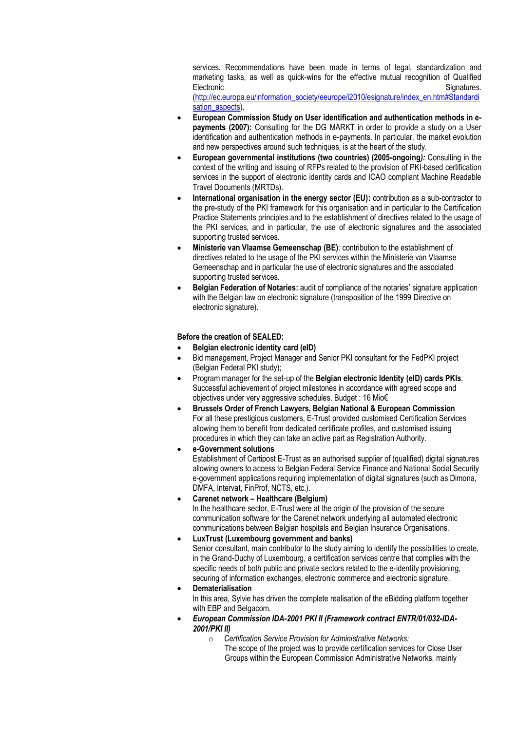services. Recommendations have been made in terms of legal, standardization and marketing tasks, as well as quick-wins for the effective mutual recognition of Qualified Electronic Signatures.

[\(http://ec.europa.eu/information\\_society/eeurope/i2010/esignature/index\\_en.htm#Standardi](http://ec.europa.eu/information_society/eeurope/i2010/esignature/index_en.htm#Standardisation_aspects) [sation\\_aspects\)](http://ec.europa.eu/information_society/eeurope/i2010/esignature/index_en.htm#Standardisation_aspects).

- **European Commission Study on User identification and authentication methods in epayments (2007):** Consulting for the DG MARKT in order to provide a study on a User identification and authentication methods in e-payments. In particular, the market evolution and new perspectives around such techniques, is at the heart of the study.
- **European governmental institutions (two countries) (2005-ongoing***):* Consulting in the context of the writing and issuing of RFPs related to the provision of PKI-based certification services in the support of electronic identity cards and ICAO compliant Machine Readable Travel Documents (MRTDs).
- **International organisation in the energy sector (EU):** contribution as a sub-contractor to the pre-study of the PKI framework for this organisation and in particular to the Certification Practice Statements principles and to the establishment of directives related to the usage of the PKI services, and in particular, the use of electronic signatures and the associated supporting trusted services.
- **Ministerie van Vlaamse Gemeenschap (BE)***:* contribution to the establishment of directives related to the usage of the PKI services within the Ministerie van Vlaamse Gemeenschap and in particular the use of electronic signatures and the associated supporting trusted services.
- **Belgian Federation of Notaries:** audit of compliance of the notaries' signature application with the Belgian law on electronic signature (transposition of the 1999 Directive on electronic signature).

## **Before the creation of SEALED:**

- **Belgian electronic identity card (eID)**
- Bid management, Project Manager and Senior PKI consultant for the FedPKI project (Belgian Federal PKI study);
- Program manager for the set-up of the **Belgian electronic Identity (eID) cards PKIs**. Successful achievement of project milestones in accordance with agreed scope and objectives under very aggressive schedules. Budget : 16 Mio€
- **Brussels Order of French Lawyers, Belgian National & European Commission** For all these prestigious customers, E-Trust provided customised Certification Services allowing them to benefit from dedicated certificate profiles, and customised issuing procedures in which they can take an active part as Registration Authority.
- **e-Government solutions** Establishment of Certipost E-Trust as an authorised supplier of (qualified) digital signatures allowing owners to access to Belgian Federal Service Finance and National Social Security e-government applications requiring implementation of digital signatures (such as Dimona, DMFA, Intervat, FinProf, NCTS, etc.).

## • **Carenet network – Healthcare (Belgium)**

In the healthcare sector, E-Trust were at the origin of the provision of the secure communication software for the Carenet network underlying all automated electronic communications between Belgian hospitals and Belgian Insurance Organisations.

### • **LuxTrust (Luxembourg government and banks)**

Senior consultant, main contributor to the study aiming to identify the possibilities to create, in the Grand-Duchy of Luxembourg, a certification services centre that complies with the specific needs of both public and private sectors related to the e-identity provisioning, securing of information exchanges, electronic commerce and electronic signature.

- **Dematerialisation** In this area, Sylvie has driven the complete realisation of the eBidding platform together with EBP and Belgacom.
- *European Commission IDA-2001 PKI II (Framework contract ENTR/01/032-IDA-2001/PKI II)* 
	- o *Certification Service Provision for Administrative Networks:*  The scope of the project was to provide certification services for Close User Groups within the European Commission Administrative Networks, mainly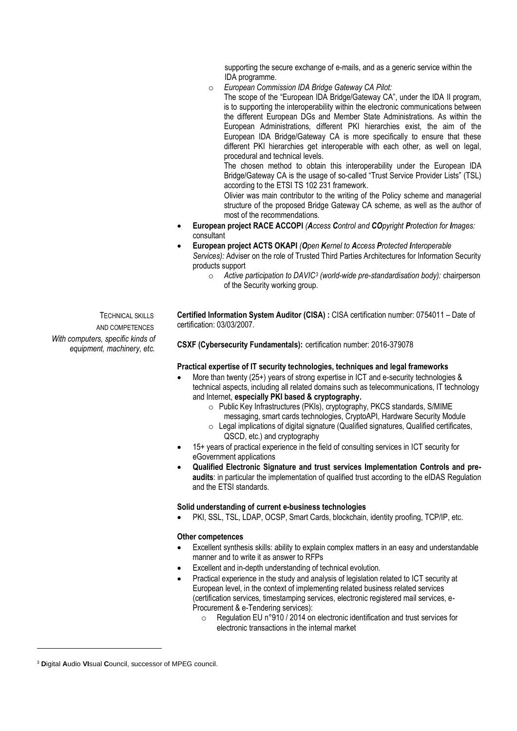supporting the secure exchange of e-mails, and as a generic service within the IDA programme.

o *European Commission IDA Bridge Gateway CA Pilot:*

The scope of the "European IDA Bridge/Gateway CA", under the IDA II program, is to supporting the interoperability within the electronic communications between the different European DGs and Member State Administrations. As within the European Administrations, different PKI hierarchies exist, the aim of the European IDA Bridge/Gateway CA is more specifically to ensure that these different PKI hierarchies get interoperable with each other, as well on legal, procedural and technical levels.

The chosen method to obtain this interoperability under the European IDA Bridge/Gateway CA is the usage of so-called "Trust Service Provider Lists" (TSL) according to the ETSI TS 102 231 framework.

Olivier was main contributor to the writing of the Policy scheme and managerial structure of the proposed Bridge Gateway CA scheme, as well as the author of most of the recommendations.

- **European project RACE ACCOPI** *(Access Control and COpyright Protection for Images:*  consultant
- **European project ACTS OKAPI** *(Open Kernel to Access Protected Interoperable Services):* Adviser on the role of Trusted Third Parties Architectures for Information Security products support
	- o *Active participation to DAVIC<sup>3</sup> (world-wide pre-standardisation body):* chairperson of the Security working group.

TECHNICAL SKILLS AND COMPETENCES *With computers, specific kinds of equipment, machinery, etc.*

**Certified Information System Auditor (CISA) :** CISA certification number: 0754011 – Date of certification: 03/03/2007.

**CSXF (Cybersecurity Fundamentals):** certification number: 2016-379078

### **Practical expertise of IT security technologies, techniques and legal frameworks**

- More than twenty (25+) years of strong expertise in ICT and e-security technologies & technical aspects, including all related domains such as telecommunications, IT technology and Internet, **especially PKI based & cryptography.**
	- o Public Key Infrastructures (PKIs), cryptography, PKCS standards, S/MIME
	- messaging, smart cards technologies, CryptoAPI, Hardware Security Module
	- $\circ$  Legal implications of digital signature (Qualified signatures, Qualified certificates, QSCD, etc.) and cryptography
- 15+ years of practical experience in the field of consulting services in ICT security for eGovernment applications
- **Qualified Electronic Signature and trust services Implementation Controls and preaudits**: in particular the implementation of qualified trust according to the eIDAS Regulation and the ETSI standards.

#### **Solid understanding of current e-business technologies**

PKI, SSL, TSL, LDAP, OCSP, Smart Cards, blockchain, identity proofing, TCP/IP, etc.

#### **Other competences**

- Excellent synthesis skills: ability to explain complex matters in an easy and understandable manner and to write it as answer to RFPs
- Excellent and in-depth understanding of technical evolution.
- Practical experience in the study and analysis of legislation related to ICT security at European level, in the context of implementing related business related services (certification services, timestamping services, electronic registered mail services, e-Procurement & e-Tendering services):
	- o Regulation EU n°910 / 2014 on electronic identification and trust services for electronic transactions in the internal market

<sup>3</sup> **D**igital **A**udio **VI**sual **C**ouncil, successor of MPEG council.